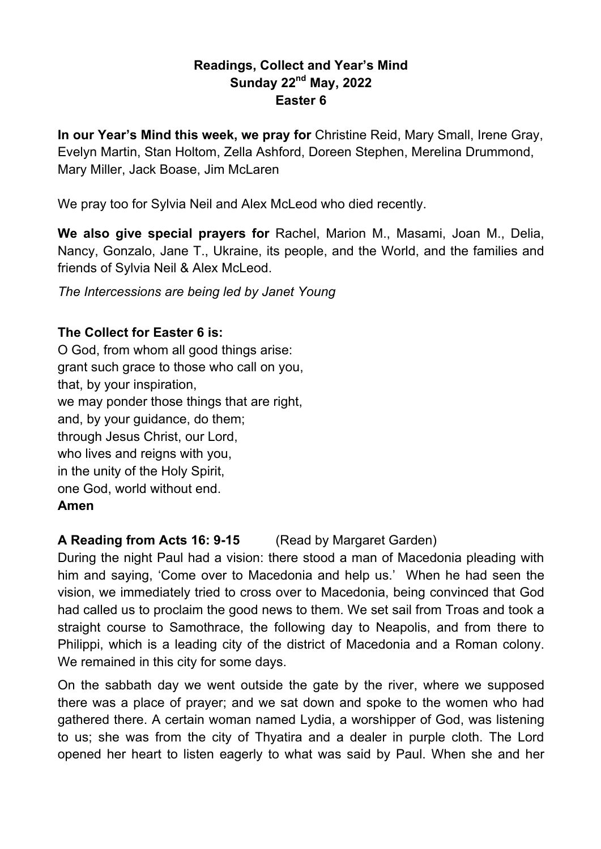### **Readings, Collect and Year's Mind Sunday 22nd May, 2022 Easter 6**

**In our Year's Mind this week, we pray for** Christine Reid, Mary Small, Irene Gray, Evelyn Martin, Stan Holtom, Zella Ashford, Doreen Stephen, Merelina Drummond, Mary Miller, Jack Boase, Jim McLaren

We pray too for Sylvia Neil and Alex McLeod who died recently.

**We also give special prayers for** Rachel, Marion M., Masami, Joan M., Delia, Nancy, Gonzalo, Jane T., Ukraine, its people, and the World, and the families and friends of Sylvia Neil & Alex McLeod.

*The Intercessions are being led by Janet Young*

### **The Collect for Easter 6 is:**

O God, from whom all good things arise: grant such grace to those who call on you, that, by your inspiration, we may ponder those things that are right, and, by your guidance, do them; through Jesus Christ, our Lord, who lives and reigns with you, in the unity of the Holy Spirit, one God, world without end. **Amen**

### **A Reading from Acts 16: 9-15** (Read by Margaret Garden)

During the night Paul had a vision: there stood a man of Macedonia pleading with him and saying, 'Come over to Macedonia and help us.' When he had seen the vision, we immediately tried to cross over to Macedonia, being convinced that God had called us to proclaim the good news to them. We set sail from Troas and took a straight course to Samothrace, the following day to Neapolis, and from there to Philippi, which is a leading city of the district of Macedonia and a Roman colony. We remained in this city for some days.

On the sabbath day we went outside the gate by the river, where we supposed there was a place of prayer; and we sat down and spoke to the women who had gathered there. A certain woman named Lydia, a worshipper of God, was listening to us; she was from the city of Thyatira and a dealer in purple cloth. The Lord opened her heart to listen eagerly to what was said by Paul. When she and her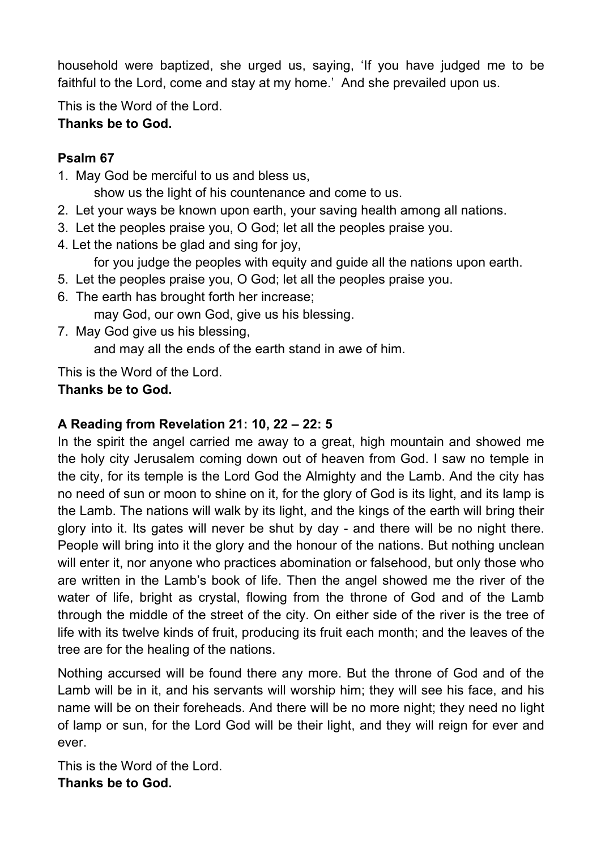household were baptized, she urged us, saying, 'If you have judged me to be faithful to the Lord, come and stay at my home.' And she prevailed upon us.

This is the Word of the Lord.

# **Thanks be to God.**

## **Psalm 67**

1. May God be merciful to us and bless us,

show us the light of his countenance and come to us.

- 2. Let your ways be known upon earth, your saving health among all nations.
- 3. Let the peoples praise you, O God; let all the peoples praise you.
- 4. Let the nations be glad and sing for joy,
	- for you judge the peoples with equity and guide all the nations upon earth.
- 5. Let the peoples praise you, O God; let all the peoples praise you.
- 6. The earth has brought forth her increase;

may God, our own God, give us his blessing.

7. May God give us his blessing, and may all the ends of the earth stand in awe of him.

This is the Word of the Lord.

# **Thanks be to God.**

# **A Reading from Revelation 21: 10, 22 – 22: 5**

In the spirit the angel carried me away to a great, high mountain and showed me the holy city Jerusalem coming down out of heaven from God. I saw no temple in the city, for its temple is the Lord God the Almighty and the Lamb. And the city has no need of sun or moon to shine on it, for the glory of God is its light, and its lamp is the Lamb. The nations will walk by its light, and the kings of the earth will bring their glory into it. Its gates will never be shut by day - and there will be no night there. People will bring into it the glory and the honour of the nations. But nothing unclean will enter it, nor anyone who practices abomination or falsehood, but only those who are written in the Lamb's book of life. Then the angel showed me the river of the water of life, bright as crystal, flowing from the throne of God and of the Lamb through the middle of the street of the city. On either side of the river is the tree of life with its twelve kinds of fruit, producing its fruit each month; and the leaves of the tree are for the healing of the nations.

Nothing accursed will be found there any more. But the throne of God and of the Lamb will be in it, and his servants will worship him; they will see his face, and his name will be on their foreheads. And there will be no more night; they need no light of lamp or sun, for the Lord God will be their light, and they will reign for ever and ever.

This is the Word of the Lord. **Thanks be to God.**